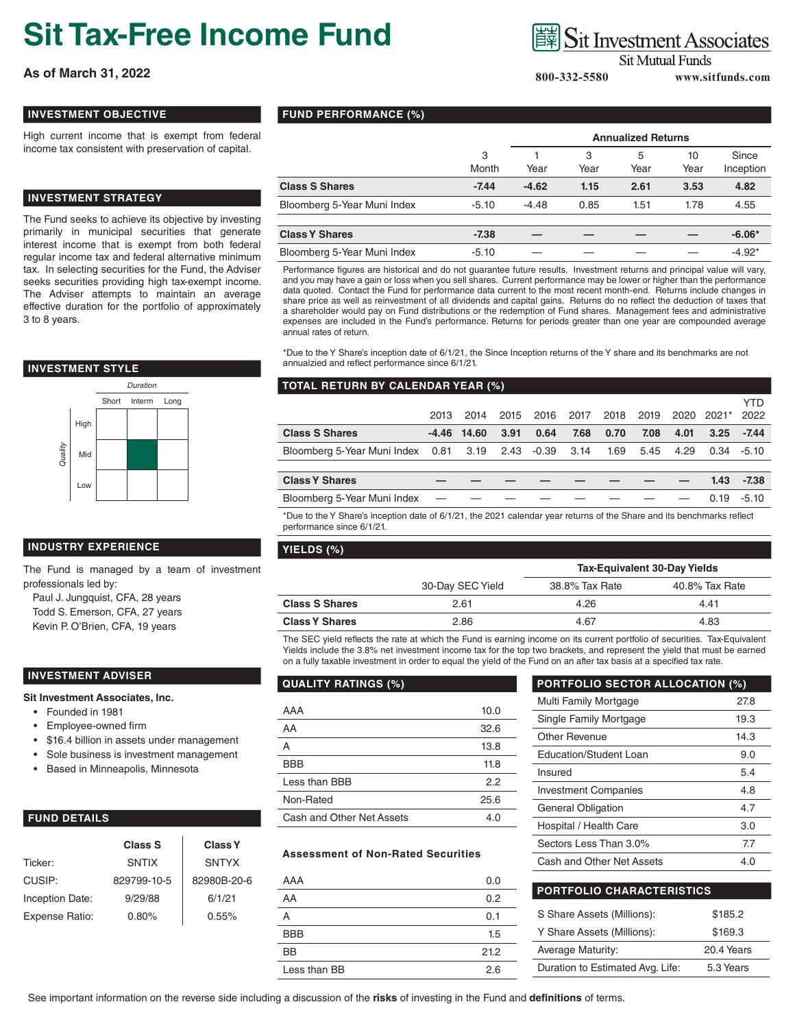# **Sit Tax-Free Income Fund**

**As of March 31, 2022** www.sitfunds.com

## **INVESTMENT OBJECTIVE**

High current income that is exempt from federal income tax consistent with preservation of capital.

# **INVESTMENT STRATEGY**

The Fund seeks to achieve its objective by investing primarily in municipal securities that generate interest income that is exempt from both federal regular income tax and federal alternative minimum tax. In selecting securities for the Fund, the Adviser seeks securities providing high tax-exempt income. The Adviser attempts to maintain an average effective duration for the portfolio of approximately 3 to 8 years.

# **INVESTMENT STYLE**



# **INDUSTRY EXPERIENCE**

The Fund is managed by a team of investment professionals led by:

Paul J. Jungquist, CFA, 28 years Todd S. Emerson, CFA, 27 years Kevin P. O'Brien, CFA, 19 years

## **INVESTMENT ADVISER**

#### **Sit Investment Associates, Inc.**

- Founded in 1981
- Employee-owned firm
- \$16.4 billion in assets under management
- Sole business is investment management
- Based in Minneapolis, Minnesota

# **FUND DETAILS**

|                 | Class S      | <b>Class Y</b> |
|-----------------|--------------|----------------|
| Ticker:         | <b>SNTIX</b> | <b>SNTYX</b>   |
| CUSIP:          | 829799-10-5  | 82980B-20-6    |
| Inception Date: | 9/29/88      | 6/1/21         |
| Expense Ratio:  | 0.80%        | 0.55%          |

**FUND PERFORMANCE (%)**

|                             |            | <b>Annualized Returns</b> |           |           |            |                    |
|-----------------------------|------------|---------------------------|-----------|-----------|------------|--------------------|
|                             | 3<br>Month | Year                      | 3<br>Year | 5<br>Year | 10<br>Year | Since<br>Inception |
| <b>Class S Shares</b>       | $-7.44$    | $-4.62$                   | 1.15      | 2.61      | 3.53       | 4.82               |
| Bloomberg 5-Year Muni Index | $-5.10$    | $-4.48$                   | 0.85      | 1.51      | 1.78       | 4.55               |
|                             |            |                           |           |           |            |                    |
| <b>Class Y Shares</b>       | -7.38      |                           |           |           |            | $-6.06*$           |

|         |         |               |                          |                          | $-6.06*$ |
|---------|---------|---------------|--------------------------|--------------------------|----------|
| $-5.10$ |         |               |                          |                          | $-4.92*$ |
|         | $-7.38$ | $\sim$ $\sim$ | $\overline{\phantom{a}}$ | $\overline{\phantom{a}}$ |          |

Performance figures are historical and do not guarantee future results. Investment returns and principal value will vary, and you may have a gain or loss when you sell shares. Current performance may be lower or higher than the performance data quoted. Contact the Fund for performance data current to the most recent month-end. Returns include changes in share price as well as reinvestment of all dividends and capital gains. Returns do no reflect the deduction of taxes that a shareholder would pay on Fund distributions or the redemption of Fund shares. Management fees and administrative expenses are included in the Fund's performance. Returns for periods greater than one year are compounded average annual rates of return.

\*Due to the Y Share's inception date of 6/1/21, the Since Inception returns of the Y share and its benchmarks are not annualzied and reflect performance since 6/1/21.

#### **TOTAL RETURN BY CALENDAR YEAR (%)**

|                                                            | 2013 | 2014          | 2015 | 2016 | 2017 | 2018 | 2019 | 2020 | $2021*$ | YTD<br>2022   |
|------------------------------------------------------------|------|---------------|------|------|------|------|------|------|---------|---------------|
| <b>Class S Shares</b>                                      |      | $-4.46$ 14.60 | 3.91 | 0.64 | 7.68 | 0.70 | 7.08 | 4.01 | 3.25    | -7.44         |
| Bloomberg 5-Year Muni Index  0.81  3.19  2.43  -0.39  3.14 |      |               |      |      |      | 1.69 | 5.45 | 4.29 |         | $0.34 - 5.10$ |
|                                                            |      |               |      |      |      |      |      |      |         |               |
| <b>Class Y Shares</b>                                      |      |               |      |      |      |      |      |      | 1.43    | $-7.38$       |
| Bloomberg 5-Year Muni Index                                |      |               |      |      |      |      |      |      | 0.19    | $-5.10$       |
|                                                            |      |               |      |      |      |      |      |      |         |               |

\*Due to the Y Share's inception date of 6/1/21, the 2021 calendar year returns of the Share and its benchmarks reflect performance since 6/1/21.

#### **YIELDS (%)**

|                       |                  | <b>Tax-Equivalent 30-Day Yields</b> |                |  |  |
|-----------------------|------------------|-------------------------------------|----------------|--|--|
|                       | 30-Day SEC Yield | 38.8% Tax Rate                      | 40.8% Tax Rate |  |  |
| <b>Class S Shares</b> | 2.61             | 4.26                                | 4.41           |  |  |
| <b>Class Y Shares</b> | 2.86             | 4.67                                | 4.83           |  |  |

The SEC yield reflects the rate at which the Fund is earning income on its current portfolio of securities. Tax-Equivalent Yields include the 3.8% net investment income tax for the top two brackets, and represent the yield that must be earned on a fully taxable investment in order to equal the yield of the Fund on an after tax basis at a specified tax rate.

| <b>QUALITY RATINGS (%)</b> |      |  |  |  |
|----------------------------|------|--|--|--|
| AAA                        | 10.0 |  |  |  |
|                            |      |  |  |  |
| AA                         | 32.6 |  |  |  |
| A                          | 13.8 |  |  |  |
| <b>BBB</b>                 | 11.8 |  |  |  |
| Less than BBB              | 22   |  |  |  |
| Non-Rated                  | 25.6 |  |  |  |
| Cash and Other Net Assets  | 4.0  |  |  |  |

#### **Assessment of Non-Rated Securities**

| AAA          | 0.0  |
|--------------|------|
| AA           | 0.2  |
| А            | 0.1  |
| <b>BBB</b>   | 1.5  |
| <b>BB</b>    | 21.2 |
| Less than BB | 2.6  |

| <b>PORTFOLIO SECTOR ALLOCATION (%)</b> |      |  |  |  |
|----------------------------------------|------|--|--|--|
| Multi Family Mortgage                  | 27.8 |  |  |  |
| Single Family Mortgage                 | 19.3 |  |  |  |
| Other Revenue                          | 14.3 |  |  |  |
| Education/Student Loan                 | 9.0  |  |  |  |
| Insured                                | 5.4  |  |  |  |
| <b>Investment Companies</b>            | 4.8  |  |  |  |
| General Obligation                     | 4.7  |  |  |  |
| Hospital / Health Care                 | 3.0  |  |  |  |
| Sectors Less Than 3.0%                 | 7.7  |  |  |  |
| Cash and Other Net Assets              | 4.0  |  |  |  |
|                                        |      |  |  |  |

| <b>PORTFOLIO CHARACTERISTICS</b> |            |  |  |  |
|----------------------------------|------------|--|--|--|
| S Share Assets (Millions):       | \$185.2    |  |  |  |
| Y Share Assets (Millions):       | \$169.3    |  |  |  |
| <b>Average Maturity:</b>         | 20.4 Years |  |  |  |
| Duration to Estimated Avg. Life: | 5.3 Years  |  |  |  |

See important information on the reverse side including a discussion of the **risks** of investing in the Fund and **definitions** of terms. 

# **Sit Mutual Funds**

**Sit Investment Associates**